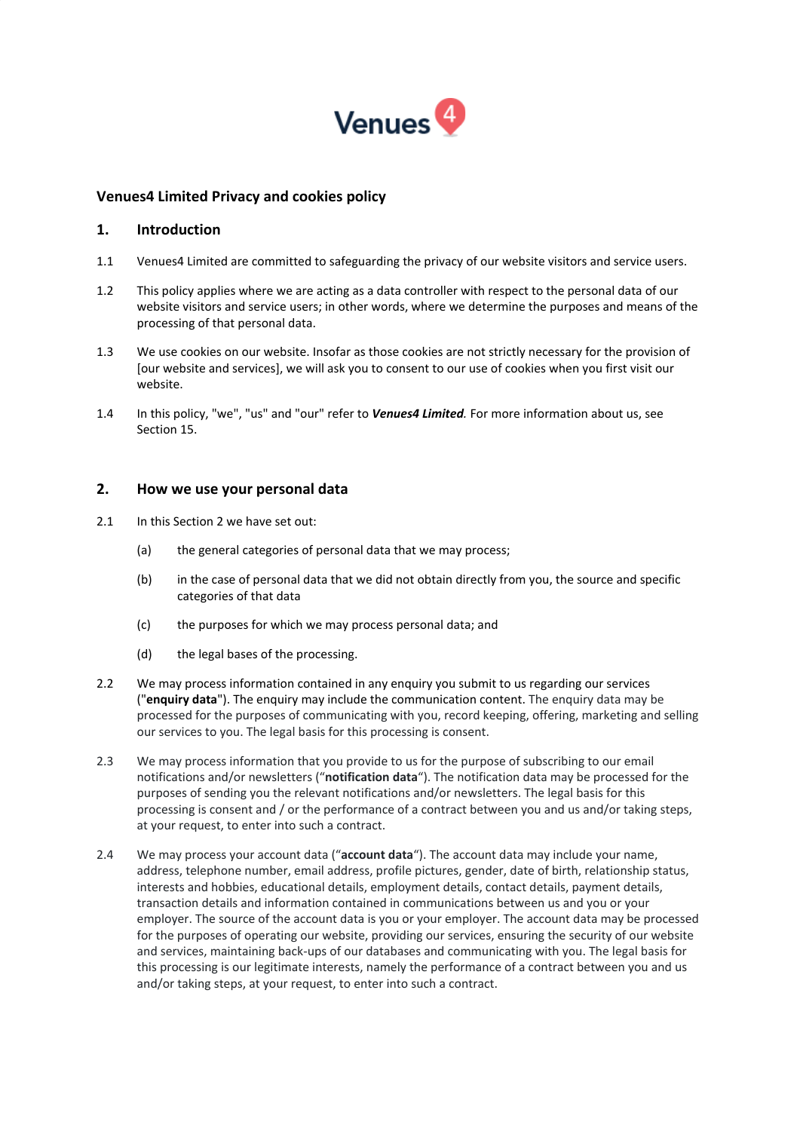

### **Venues4 Limited Privacy and cookies policy**

#### **1. Introduction**

- 1.1 Venues4 Limited are committed to safeguarding the privacy of our website visitors and service users.
- 1.2 This policy applies where we are acting as a data controller with respect to the personal data of our website visitors and service users; in other words, where we determine the purposes and means of the processing of that personal data.
- 1.3 We use cookies on our website. Insofar as those cookies are not strictly necessary for the provision of [our website and services], we will ask you to consent to our use of cookies when you first visit our website.
- 1.4 In this policy, "we", "us" and "our" refer to *Venues4 Limited.* For more information about us, see Section 15.

# **2. How we use your personal data**

- 2.1 In this Section 2 we have set out:
	- (a) the general categories of personal data that we may process;
	- (b) in the case of personal data that we did not obtain directly from you, the source and specific categories of that data
	- (c) the purposes for which we may process personal data; and
	- (d) the legal bases of the processing.
- 2.2 We may process information contained in any enquiry you submit to us regarding our services ("**enquiry data**"). The enquiry may include the communication content. The enquiry data may be processed for the purposes of communicating with you, record keeping, offering, marketing and selling our services to you. The legal basis for this processing is consent.
- 2.3 We may process information that you provide to us for the purpose of subscribing to our email notifications and/or newsletters ("**notification data**"). The notification data may be processed for the purposes of sending you the relevant notifications and/or newsletters. The legal basis for this processing is consent and / or the performance of a contract between you and us and/or taking steps, at your request, to enter into such a contract.
- 2.4 We may process your account data ("**account data**"). The account data may include your name, address, telephone number, email address, profile pictures, gender, date of birth, relationship status, interests and hobbies, educational details, employment details, contact details, payment details, transaction details and information contained in communications between us and you or your employer. The source of the account data is you or your employer. The account data may be processed for the purposes of operating our website, providing our services, ensuring the security of our website and services, maintaining back-ups of our databases and communicating with you. The legal basis for this processing is our legitimate interests, namely the performance of a contract between you and us and/or taking steps, at your request, to enter into such a contract.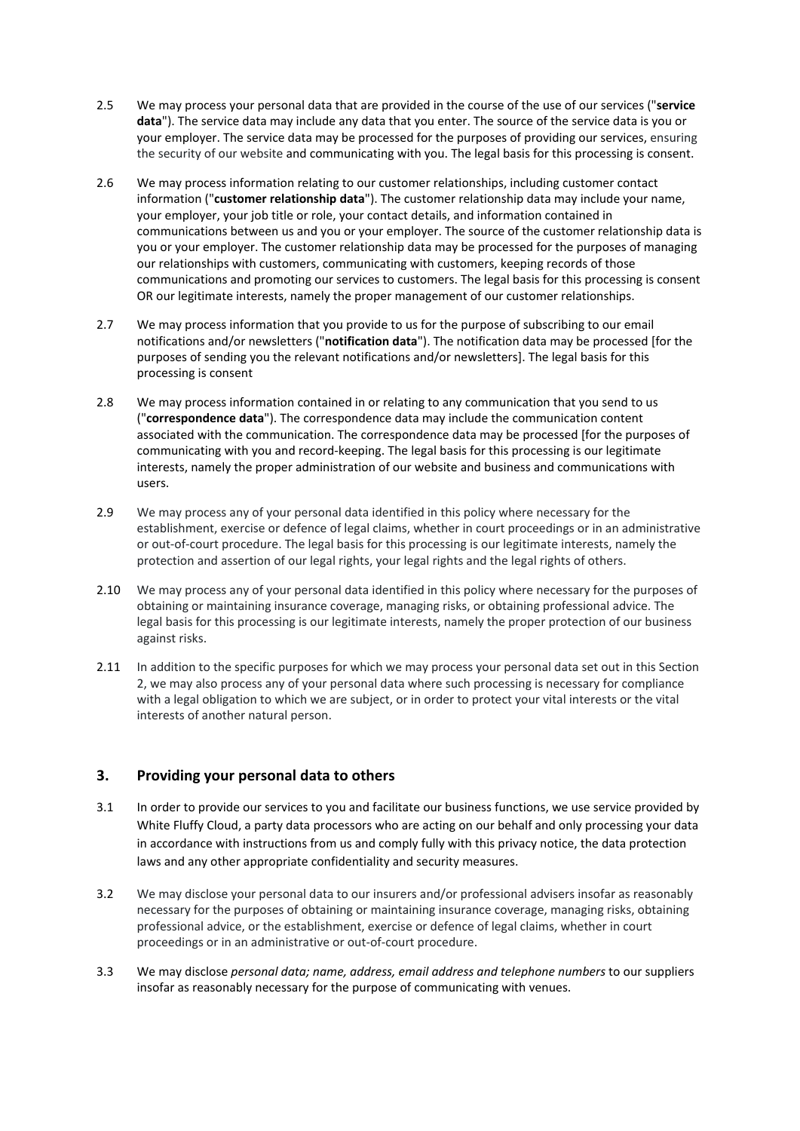- 2.5 We may process your personal data that are provided in the course of the use of our services ("**service data**"). The service data may include any data that you enter. The source of the service data is you or your employer. The service data may be processed for the purposes of providing our services, ensuring the security of our website and communicating with you. The legal basis for this processing is consent.
- 2.6 We may process information relating to our customer relationships, including customer contact information ("**customer relationship data**"). The customer relationship data may include your name, your employer, your job title or role, your contact details, and information contained in communications between us and you or your employer. The source of the customer relationship data is you or your employer. The customer relationship data may be processed for the purposes of managing our relationships with customers, communicating with customers, keeping records of those communications and promoting our services to customers. The legal basis for this processing is consent OR our legitimate interests, namely the proper management of our customer relationships.
- 2.7 We may process information that you provide to us for the purpose of subscribing to our email notifications and/or newsletters ("**notification data**"). The notification data may be processed [for the purposes of sending you the relevant notifications and/or newsletters]. The legal basis for this processing is consent
- 2.8 We may process information contained in or relating to any communication that you send to us ("**correspondence data**"). The correspondence data may include the communication content associated with the communication. The correspondence data may be processed [for the purposes of communicating with you and record-keeping. The legal basis for this processing is our legitimate interests, namely the proper administration of our website and business and communications with users.
- 2.9 We may process any of your personal data identified in this policy where necessary for the establishment, exercise or defence of legal claims, whether in court proceedings or in an administrative or out-of-court procedure. The legal basis for this processing is our legitimate interests, namely the protection and assertion of our legal rights, your legal rights and the legal rights of others.
- 2.10 We may process any of your personal data identified in this policy where necessary for the purposes of obtaining or maintaining insurance coverage, managing risks, or obtaining professional advice. The legal basis for this processing is our legitimate interests, namely the proper protection of our business against risks.
- 2.11 In addition to the specific purposes for which we may process your personal data set out in this Section 2, we may also process any of your personal data where such processing is necessary for compliance with a legal obligation to which we are subject, or in order to protect your vital interests or the vital interests of another natural person.

# **3. Providing your personal data to others**

- 3.1 In order to provide our services to you and facilitate our business functions, we use service provided by White Fluffy Cloud, a party data processors who are acting on our behalf and only processing your data in accordance with instructions from us and comply fully with this privacy notice, the data protection laws and any other appropriate confidentiality and security measures.
- 3.2 We may disclose your personal data to our insurers and/or professional advisers insofar as reasonably necessary for the purposes of obtaining or maintaining insurance coverage, managing risks, obtaining professional advice, or the establishment, exercise or defence of legal claims, whether in court proceedings or in an administrative or out-of-court procedure.
- 3.3 We may disclose *personal data; name, address, email address and telephone numbers* to our suppliers insofar as reasonably necessary for the purpose of communicating with venues.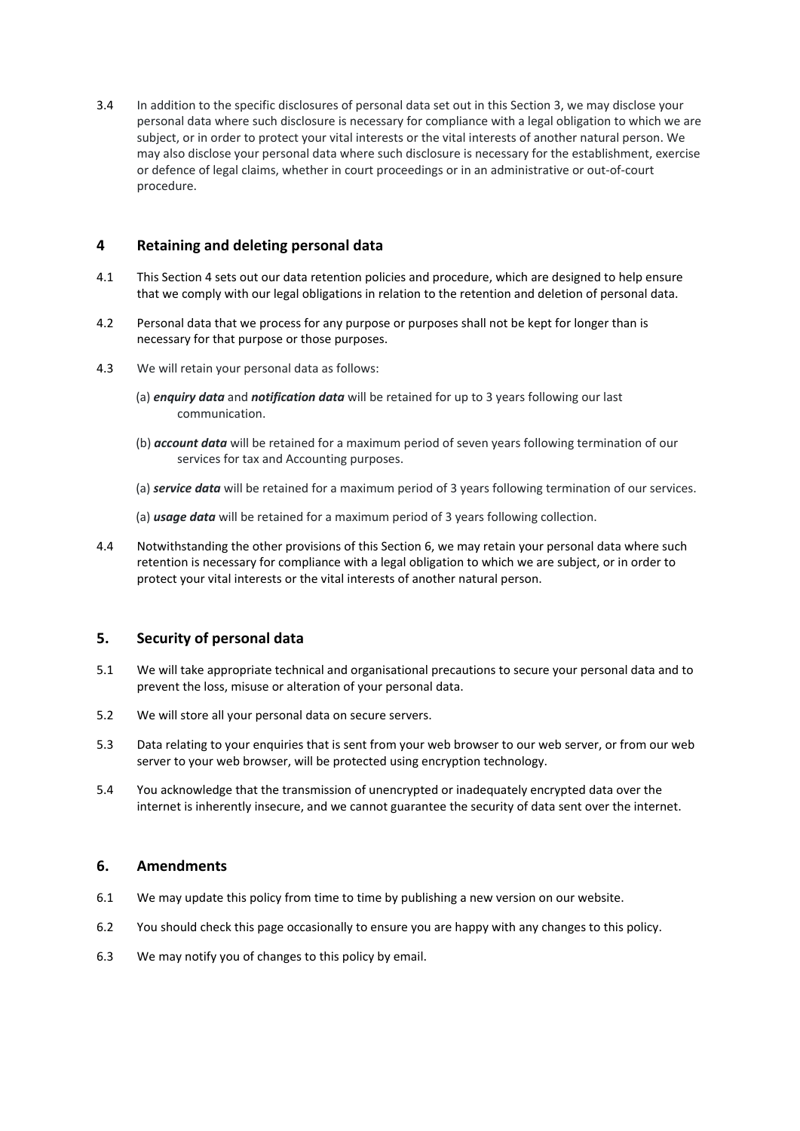3.4 In addition to the specific disclosures of personal data set out in this Section 3, we may disclose your personal data where such disclosure is necessary for compliance with a legal obligation to which we are subject, or in order to protect your vital interests or the vital interests of another natural person. We may also disclose your personal data where such disclosure is necessary for the establishment, exercise or defence of legal claims, whether in court proceedings or in an administrative or out-of-court procedure.

### **4 Retaining and deleting personal data**

- 4.1 This Section 4 sets out our data retention policies and procedure, which are designed to help ensure that we comply with our legal obligations in relation to the retention and deletion of personal data.
- 4.2 Personal data that we process for any purpose or purposes shall not be kept for longer than is necessary for that purpose or those purposes.
- 4.3 We will retain your personal data as follows:
	- (a) *enquiry data* and *notification data* will be retained for up to 3 years following our last communication.
	- (b) *account data* will be retained for a maximum period of seven years following termination of our services for tax and Accounting purposes.
	- (a) *service data* will be retained for a maximum period of 3 years following termination of our services.
	- (a) *usage data* will be retained for a maximum period of 3 years following collection.
- 4.4 Notwithstanding the other provisions of this Section 6, we may retain your personal data where such retention is necessary for compliance with a legal obligation to which we are subject, or in order to protect your vital interests or the vital interests of another natural person.

### **5. Security of personal data**

- 5.1 We will take appropriate technical and organisational precautions to secure your personal data and to prevent the loss, misuse or alteration of your personal data.
- 5.2 We will store all your personal data on secure servers.
- 5.3 Data relating to your enquiries that is sent from your web browser to our web server, or from our web server to your web browser, will be protected using encryption technology.
- 5.4 You acknowledge that the transmission of unencrypted or inadequately encrypted data over the internet is inherently insecure, and we cannot guarantee the security of data sent over the internet.

#### **6. Amendments**

- 6.1 We may update this policy from time to time by publishing a new version on our website.
- 6.2 You should check this page occasionally to ensure you are happy with any changes to this policy.
- 6.3 We may notify you of changes to this policy by email.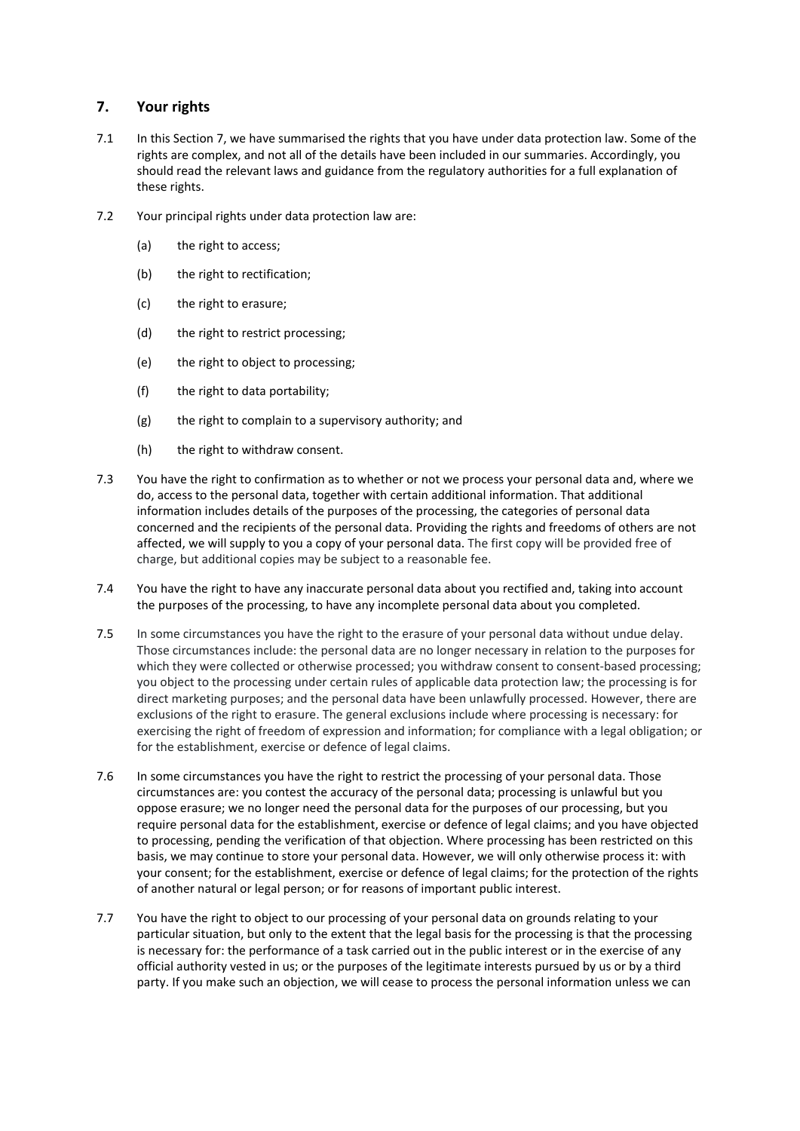## **7. Your rights**

- 7.1 In this Section 7, we have summarised the rights that you have under data protection law. Some of the rights are complex, and not all of the details have been included in our summaries. Accordingly, you should read the relevant laws and guidance from the regulatory authorities for a full explanation of these rights.
- 7.2 Your principal rights under data protection law are:
	- (a) the right to access;
	- (b) the right to rectification;
	- (c) the right to erasure;
	- (d) the right to restrict processing;
	- (e) the right to object to processing;
	- (f) the right to data portability;
	- (g) the right to complain to a supervisory authority; and
	- (h) the right to withdraw consent.
- 7.3 You have the right to confirmation as to whether or not we process your personal data and, where we do, access to the personal data, together with certain additional information. That additional information includes details of the purposes of the processing, the categories of personal data concerned and the recipients of the personal data. Providing the rights and freedoms of others are not affected, we will supply to you a copy of your personal data. The first copy will be provided free of charge, but additional copies may be subject to a reasonable fee.
- 7.4 You have the right to have any inaccurate personal data about you rectified and, taking into account the purposes of the processing, to have any incomplete personal data about you completed.
- 7.5 In some circumstances you have the right to the erasure of your personal data without undue delay. Those circumstances include: the personal data are no longer necessary in relation to the purposes for which they were collected or otherwise processed; you withdraw consent to consent-based processing; you object to the processing under certain rules of applicable data protection law; the processing is for direct marketing purposes; and the personal data have been unlawfully processed. However, there are exclusions of the right to erasure. The general exclusions include where processing is necessary: for exercising the right of freedom of expression and information; for compliance with a legal obligation; or for the establishment, exercise or defence of legal claims.
- 7.6 In some circumstances you have the right to restrict the processing of your personal data. Those circumstances are: you contest the accuracy of the personal data; processing is unlawful but you oppose erasure; we no longer need the personal data for the purposes of our processing, but you require personal data for the establishment, exercise or defence of legal claims; and you have objected to processing, pending the verification of that objection. Where processing has been restricted on this basis, we may continue to store your personal data. However, we will only otherwise process it: with your consent; for the establishment, exercise or defence of legal claims; for the protection of the rights of another natural or legal person; or for reasons of important public interest.
- 7.7 You have the right to object to our processing of your personal data on grounds relating to your particular situation, but only to the extent that the legal basis for the processing is that the processing is necessary for: the performance of a task carried out in the public interest or in the exercise of any official authority vested in us; or the purposes of the legitimate interests pursued by us or by a third party. If you make such an objection, we will cease to process the personal information unless we can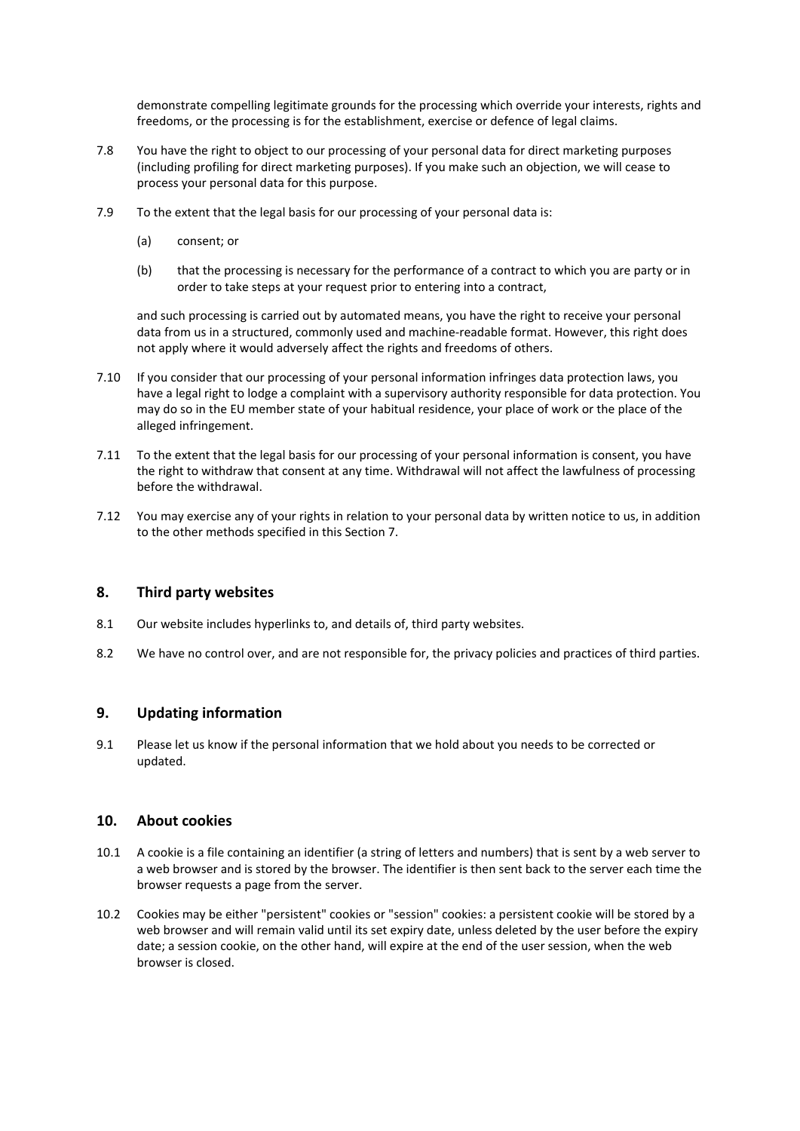demonstrate compelling legitimate grounds for the processing which override your interests, rights and freedoms, or the processing is for the establishment, exercise or defence of legal claims.

- 7.8 You have the right to object to our processing of your personal data for direct marketing purposes (including profiling for direct marketing purposes). If you make such an objection, we will cease to process your personal data for this purpose.
- 7.9 To the extent that the legal basis for our processing of your personal data is:
	- (a) consent; or
	- (b) that the processing is necessary for the performance of a contract to which you are party or in order to take steps at your request prior to entering into a contract,

and such processing is carried out by automated means, you have the right to receive your personal data from us in a structured, commonly used and machine-readable format. However, this right does not apply where it would adversely affect the rights and freedoms of others.

- 7.10 If you consider that our processing of your personal information infringes data protection laws, you have a legal right to lodge a complaint with a supervisory authority responsible for data protection. You may do so in the EU member state of your habitual residence, your place of work or the place of the alleged infringement.
- 7.11 To the extent that the legal basis for our processing of your personal information is consent, you have the right to withdraw that consent at any time. Withdrawal will not affect the lawfulness of processing before the withdrawal.
- 7.12 You may exercise any of your rights in relation to your personal data by written notice to us, in addition to the other methods specified in this Section 7.

#### **8. Third party websites**

- 8.1 Our website includes hyperlinks to, and details of, third party websites.
- 8.2 We have no control over, and are not responsible for, the privacy policies and practices of third parties.

### **9. Updating information**

9.1 Please let us know if the personal information that we hold about you needs to be corrected or updated.

### **10. About cookies**

- 10.1 A cookie is a file containing an identifier (a string of letters and numbers) that is sent by a web server to a web browser and is stored by the browser. The identifier is then sent back to the server each time the browser requests a page from the server.
- 10.2 Cookies may be either "persistent" cookies or "session" cookies: a persistent cookie will be stored by a web browser and will remain valid until its set expiry date, unless deleted by the user before the expiry date; a session cookie, on the other hand, will expire at the end of the user session, when the web browser is closed.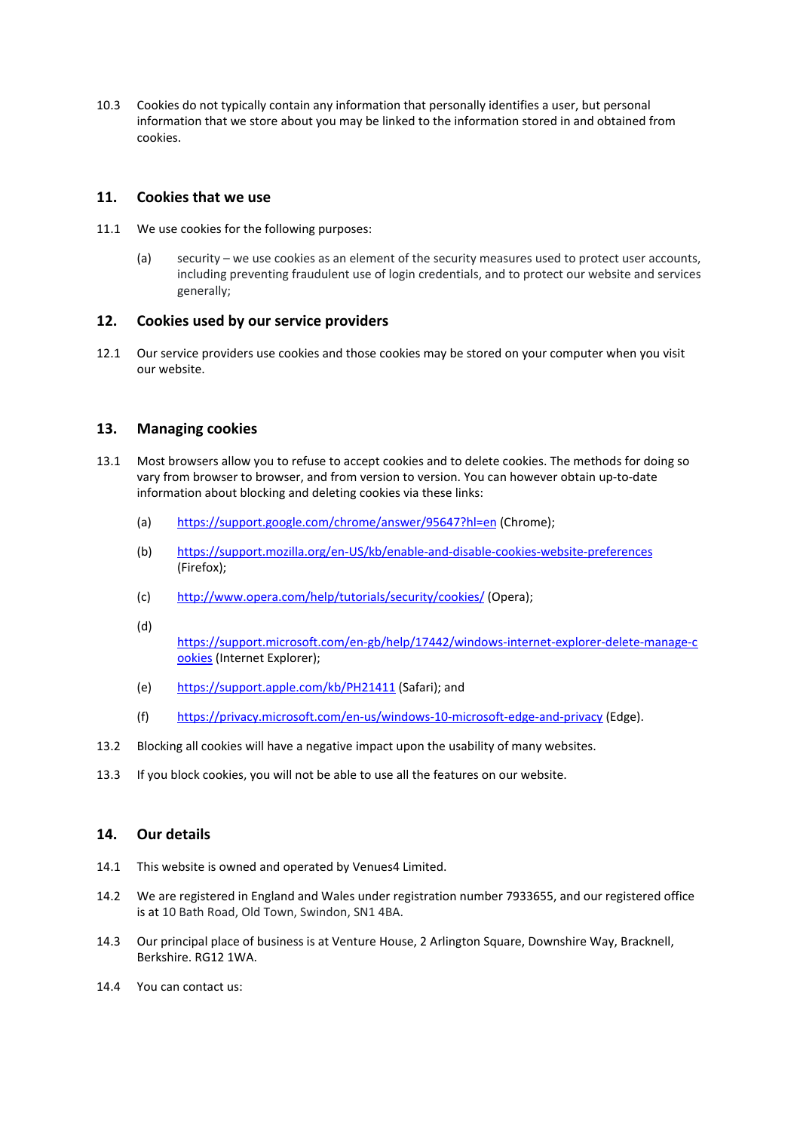10.3 Cookies do not typically contain any information that personally identifies a user, but personal information that we store about you may be linked to the information stored in and obtained from cookies.

### **11. Cookies that we use**

- 11.1 We use cookies for the following purposes:
	- (a) security we use cookies as an element of the security measures used to protect user accounts, including preventing fraudulent use of login credentials, and to protect our website and services generally;

### **12. Cookies used by our service providers**

12.1 Our service providers use cookies and those cookies may be stored on your computer when you visit our website.

### **13. Managing cookies**

- 13.1 Most browsers allow you to refuse to accept cookies and to delete cookies. The methods for doing so vary from browser to browser, and from version to version. You can however obtain up-to-date information about blocking and deleting cookies via these links:
	- (a) <https://support.google.com/chrome/answer/95647?hl=en> (Chrome);
	- (b) <https://support.mozilla.org/en-US/kb/enable-and-disable-cookies-website-preferences> (Firefox);
	- (c) <http://www.opera.com/help/tutorials/security/cookies/> (Opera);
	- (d)

[https://support.microsoft.com/en-gb/help/17442/windows-internet-explorer-delete-manage-c](https://support.microsoft.com/en-gb/help/17442/windows-internet-explorer-delete-manage-cookies) [ookies](https://support.microsoft.com/en-gb/help/17442/windows-internet-explorer-delete-manage-cookies) (Internet Explorer);

- (e) <https://support.apple.com/kb/PH21411> (Safari); and
- (f) <https://privacy.microsoft.com/en-us/windows-10-microsoft-edge-and-privacy> (Edge).
- 13.2 Blocking all cookies will have a negative impact upon the usability of many websites.
- 13.3 If you block cookies, you will not be able to use all the features on our website.

### **14. Our details**

- 14.1 This website is owned and operated by Venues4 Limited.
- 14.2 We are registered in England and Wales under registration number 7933655, and our registered office is at 10 Bath Road, Old Town, Swindon, SN1 4BA.
- 14.3 Our principal place of business is at Venture House, 2 Arlington Square, Downshire Way, Bracknell, Berkshire. RG12 1WA.
- 14.4 You can contact us: